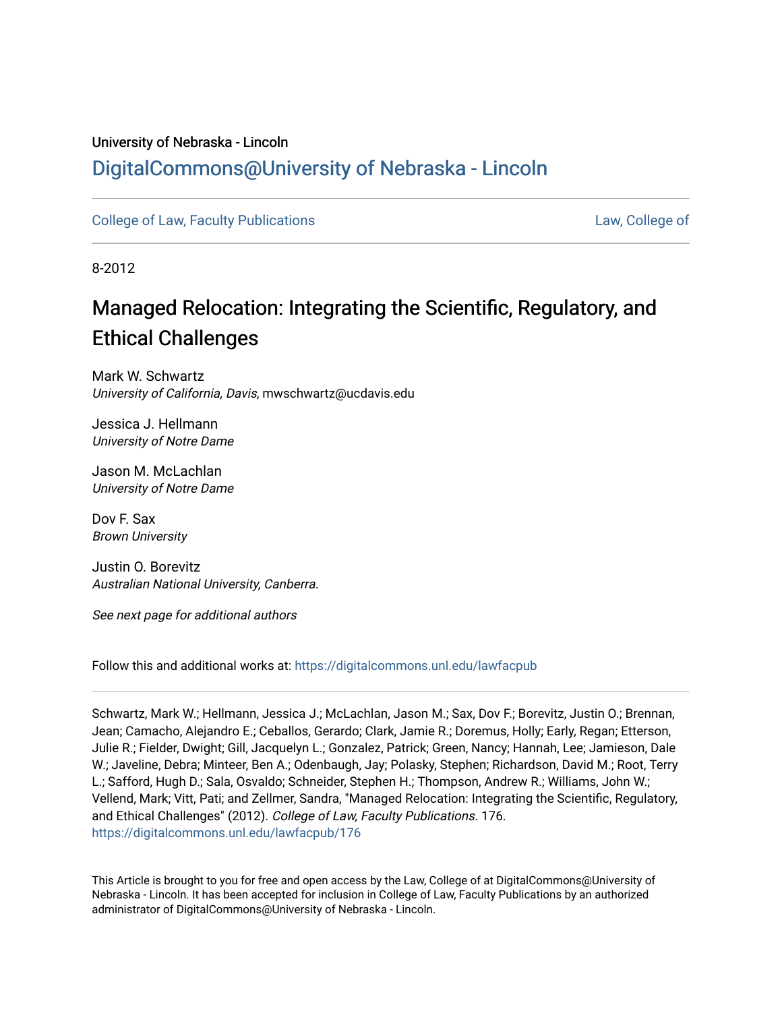# University of Nebraska - Lincoln [DigitalCommons@University of Nebraska - Lincoln](https://digitalcommons.unl.edu/)

[College of Law, Faculty Publications](https://digitalcommons.unl.edu/lawfacpub) [Law, College of](https://digitalcommons.unl.edu/law) Law, College of

8-2012

# Managed Relocation: Integrating the Scientific, Regulatory, and Ethical Challenges

Mark W. Schwartz University of California, Davis, mwschwartz@ucdavis.edu

Jessica J. Hellmann University of Notre Dame

Jason M. McLachlan University of Notre Dame

Dov F. Sax Brown University

Justin O. Borevitz Australian National University, Canberra.

See next page for additional authors

Follow this and additional works at: [https://digitalcommons.unl.edu/lawfacpub](https://digitalcommons.unl.edu/lawfacpub?utm_source=digitalcommons.unl.edu%2Flawfacpub%2F176&utm_medium=PDF&utm_campaign=PDFCoverPages) 

Schwartz, Mark W.; Hellmann, Jessica J.; McLachlan, Jason M.; Sax, Dov F.; Borevitz, Justin O.; Brennan, Jean; Camacho, Alejandro E.; Ceballos, Gerardo; Clark, Jamie R.; Doremus, Holly; Early, Regan; Etterson, Julie R.; Fielder, Dwight; Gill, Jacquelyn L.; Gonzalez, Patrick; Green, Nancy; Hannah, Lee; Jamieson, Dale W.; Javeline, Debra; Minteer, Ben A.; Odenbaugh, Jay; Polasky, Stephen; Richardson, David M.; Root, Terry L.; Safford, Hugh D.; Sala, Osvaldo; Schneider, Stephen H.; Thompson, Andrew R.; Williams, John W.; Vellend, Mark; Vitt, Pati; and Zellmer, Sandra, "Managed Relocation: Integrating the Scientific, Regulatory, and Ethical Challenges" (2012). College of Law, Faculty Publications. 176. [https://digitalcommons.unl.edu/lawfacpub/176](https://digitalcommons.unl.edu/lawfacpub/176?utm_source=digitalcommons.unl.edu%2Flawfacpub%2F176&utm_medium=PDF&utm_campaign=PDFCoverPages) 

This Article is brought to you for free and open access by the Law, College of at DigitalCommons@University of Nebraska - Lincoln. It has been accepted for inclusion in College of Law, Faculty Publications by an authorized administrator of DigitalCommons@University of Nebraska - Lincoln.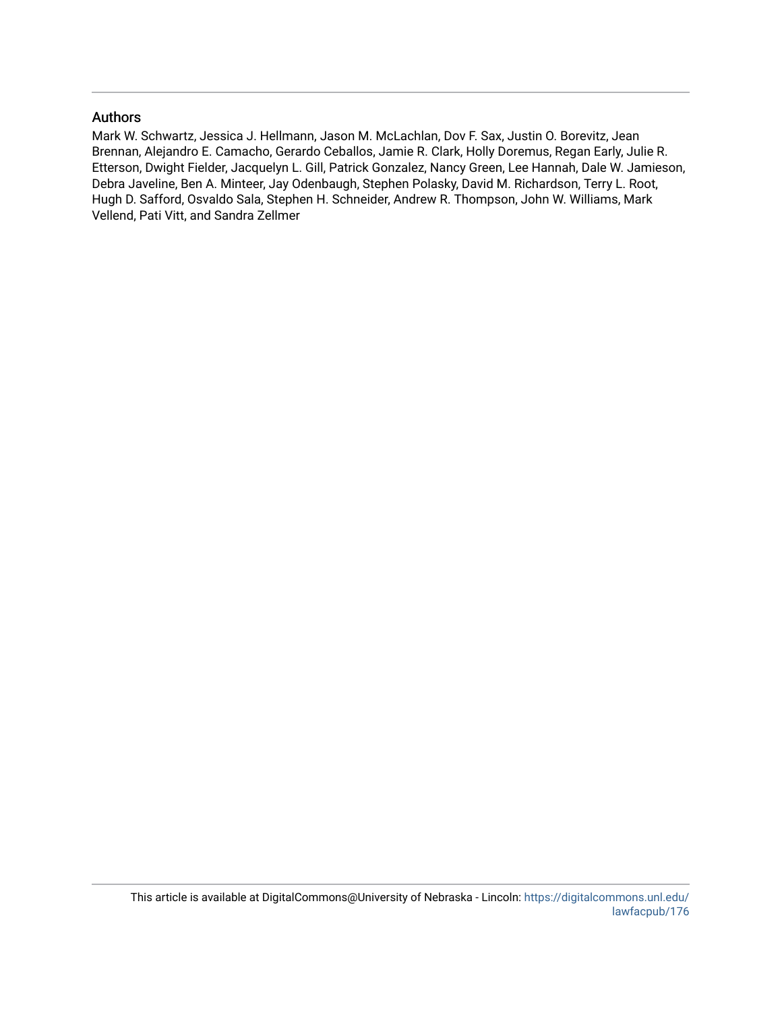# Authors

Mark W. Schwartz, Jessica J. Hellmann, Jason M. McLachlan, Dov F. Sax, Justin O. Borevitz, Jean Brennan, Alejandro E. Camacho, Gerardo Ceballos, Jamie R. Clark, Holly Doremus, Regan Early, Julie R. Etterson, Dwight Fielder, Jacquelyn L. Gill, Patrick Gonzalez, Nancy Green, Lee Hannah, Dale W. Jamieson, Debra Javeline, Ben A. Minteer, Jay Odenbaugh, Stephen Polasky, David M. Richardson, Terry L. Root, Hugh D. Safford, Osvaldo Sala, Stephen H. Schneider, Andrew R. Thompson, John W. Williams, Mark Vellend, Pati Vitt, and Sandra Zellmer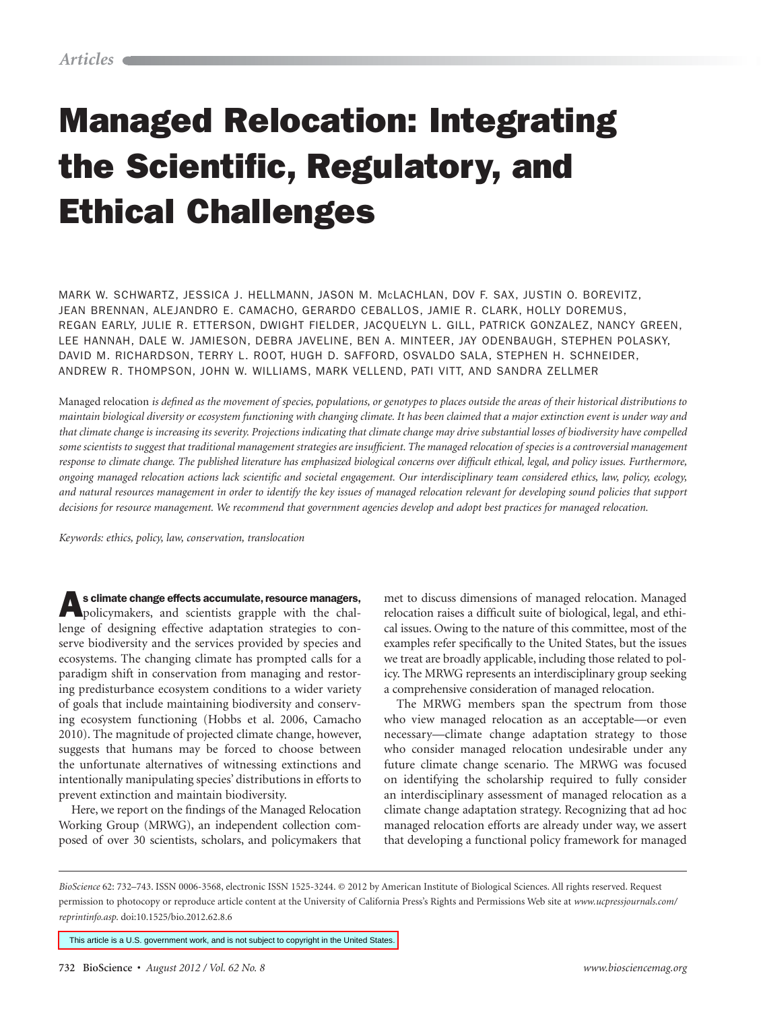# Managed Relocation: Integrating the Scientific, Regulatory, and Ethical Challenges

MARK W. SCHWARTZ, JESSICA J. HELLMANN, JASON M. MCLACHLAN, DOV F. SAX, JUSTIN O. BOREVITZ, JEAN BRENNAN, ALEJANDRO E. CAMACHO, GERARDO CEBALLOS, JAMIE R. CLARK, HOLLY DOREMUS, REGAN EARLY, JULIE R. ETTERSON, DWIGHT FIELDER, JACQUELYN L. GILL, PATRICK GONZALEZ, NANCY GREEN, LEE HANNAH, DALE W. JAMIESON, DEBRA JAVELINE, BEN A. MINTEER, JAY ODENBAUGH, STEPHEN POLASKY, DAVID M. RICHARDSON, TERRY L. ROOT, HUGH D. SAFFORD, OSVALDO SALA, STEPHEN H. SCHNEIDER, ANDREW R. THOMPSON, JOHN W. WILLIAMS, MARK VELLEND, PATI VITT, AND SANDRA ZELLMER

Managed relocation *is defined as the movement of species, populations, or genotypes to places outside the areas of their historical distributions to maintain biological diversity or ecosystem functioning with changing climate. It has been claimed that a major extinction event is under way and that climate change is increasing its severity. Projections indicating that climate change may drive substantial losses of biodiversity have compelled*  some scientists to suggest that traditional management strategies are insufficient. The managed relocation of species is a controversial management *response to climate change. The published literature has emphasized biological concerns over difficult ethical, legal, and policy issues. Furthermore, ongoing managed relocation actions lack scientific and societal engagement. Our interdisciplinary team considered ethics, law, policy, ecology, and natural resources management in order to identify the key issues of managed relocation relevant for developing sound policies that support decisions for resource management. We recommend that government agencies develop and adopt best practices for managed relocation.*

*Keywords: ethics, policy, law, conservation, translocation*

As climate change effects accumulate, resource managers, policymakers, and scientists grapple with the challenge of designing effective adaptation strategies to conserve biodiversity and the services provided by species and ecosystems. The changing climate has prompted calls for a paradigm shift in conservation from managing and restoring predisturbance ecosystem conditions to a wider variety of goals that include maintaining biodiversity and conserving ecosystem functioning (Hobbs et al. 2006, Camacho 2010). The magnitude of projected climate change, however, suggests that humans may be forced to choose between the unfortunate alternatives of witnessing extinctions and intentionally manipulating species' distributions in efforts to prevent extinction and maintain biodiversity.

Here, we report on the findings of the Managed Relocation Working Group (MRWG), an independent collection composed of over 30 scientists, scholars, and policymakers that

met to discuss dimensions of managed relocation. Managed relocation raises a difficult suite of biological, legal, and ethical issues. Owing to the nature of this committee, most of the examples refer specifically to the United States, but the issues we treat are broadly applicable, including those related to policy. The MRWG represents an interdisciplinary group seeking a comprehensive consideration of managed relocation.

The MRWG members span the spectrum from those who view managed relocation as an acceptable—or even necessary—climate change adaptation strategy to those who consider managed relocation undesirable under any future climate change scenario. The MRWG was focused on identifying the scholarship required to fully consider an interdisciplinary assessment of managed relocation as a climate change adaptation strategy. Recognizing that ad hoc managed relocation efforts are already under way, we assert that developing a functional policy framework for managed

*BioScience* 62: 732–743. ISSN 0006-3568, electronic ISSN 1525-3244. © 2012 by American Institute of Biological Sciences. All rights reserved. Request permission to photocopy or reproduce article content at the University of California Press's Rights and Permissions Web site at *www.ucpressjournals.com/ reprintinfo.asp*. doi:10.1525/bio.2012.62.8.6

This article is a U.S. government work, and is not subject to copyright in the United States.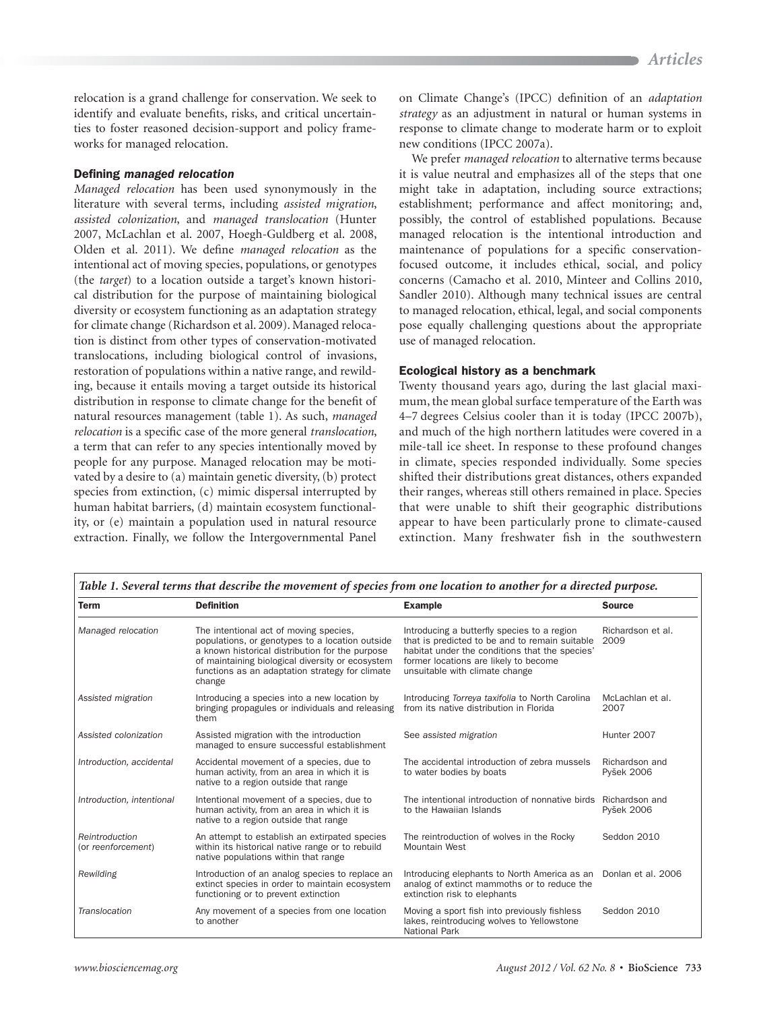relocation is a grand challenge for conservation. We seek to identify and evaluate benefits, risks, and critical uncertainties to foster reasoned decision-support and policy frameworks for managed relocation.

#### Defining *managed relocation*

*Managed relocation* has been used synonymously in the literature with several terms, including *assisted migration*, *assisted colonization*, and *managed translocation* (Hunter 2007, McLachlan et al. 2007, Hoegh-Guldberg et al. 2008, Olden et al. 2011). We define *managed relocation* as the intentional act of moving species, populations, or genotypes (the *target*) to a location outside a target's known historical distribution for the purpose of maintaining biological diversity or ecosystem functioning as an adaptation strategy for climate change (Richardson et al. 2009). Managed relocation is distinct from other types of conservation-motivated translocations, including biological control of invasions, restoration of populations within a native range, and rewilding, because it entails moving a target outside its historical distribution in response to climate change for the benefit of natural resources management (table 1). As such, *managed relocation* is a specific case of the more general *translocation*, a term that can refer to any species intentionally moved by people for any purpose. Managed relocation may be motivated by a desire to (a) maintain genetic diversity, (b) protect species from extinction, (c) mimic dispersal interrupted by human habitat barriers, (d) maintain ecosystem functionality, or (e) maintain a population used in natural resource extraction. Finally, we follow the Intergovernmental Panel

on Climate Change's (IPCC) definition of an *adaptation strategy* as an adjustment in natural or human systems in response to climate change to moderate harm or to exploit new conditions (IPCC 2007a).

We prefer *managed relocation* to alternative terms because it is value neutral and emphasizes all of the steps that one might take in adaptation, including source extractions; establishment; performance and affect monitoring; and, possibly, the control of established populations. Because managed relocation is the intentional introduction and maintenance of populations for a specific conservationfocused outcome, it includes ethical, social, and policy concerns (Camacho et al. 2010, Minteer and Collins 2010, Sandler 2010). Although many technical issues are central to managed relocation, ethical, legal, and social components pose equally challenging questions about the appropriate use of managed relocation.

#### Ecological history as a benchmark

Twenty thousand years ago, during the last glacial maximum, the mean global surface temperature of the Earth was 4–7 degrees Celsius cooler than it is today (IPCC 2007b), and much of the high northern latitudes were covered in a mile-tall ice sheet. In response to these profound changes in climate, species responded individually. Some species shifted their distributions great distances, others expanded their ranges, whereas still others remained in place. Species that were unable to shift their geographic distributions appear to have been particularly prone to climate-caused extinction. Many freshwater fish in the southwestern

| <b>Term</b>                          | <b>Definition</b>                                                                                                                                                                                                                                             | <b>Example</b>                                                                                                                                                                                                             | <b>Source</b>                       |
|--------------------------------------|---------------------------------------------------------------------------------------------------------------------------------------------------------------------------------------------------------------------------------------------------------------|----------------------------------------------------------------------------------------------------------------------------------------------------------------------------------------------------------------------------|-------------------------------------|
| Managed relocation                   | The intentional act of moving species,<br>populations, or genotypes to a location outside<br>a known historical distribution for the purpose<br>of maintaining biological diversity or ecosystem<br>functions as an adaptation strategy for climate<br>change | Introducing a butterfly species to a region<br>that is predicted to be and to remain suitable<br>habitat under the conditions that the species'<br>former locations are likely to become<br>unsuitable with climate change | Richardson et al.<br>2009           |
| Assisted migration                   | Introducing a species into a new location by<br>bringing propagules or individuals and releasing<br>them                                                                                                                                                      | Introducing Torreya taxifolia to North Carolina<br>from its native distribution in Florida                                                                                                                                 | McLachlan et al.<br>2007            |
| Assisted colonization                | Assisted migration with the introduction<br>managed to ensure successful establishment                                                                                                                                                                        | See assisted migration                                                                                                                                                                                                     | Hunter 2007                         |
| Introduction, accidental             | Accidental movement of a species, due to<br>human activity, from an area in which it is<br>native to a region outside that range                                                                                                                              | The accidental introduction of zebra mussels<br>to water bodies by boats                                                                                                                                                   | Richardson and<br><b>Pyšek 2006</b> |
| Introduction, intentional            | Intentional movement of a species, due to<br>human activity, from an area in which it is<br>native to a region outside that range                                                                                                                             | The intentional introduction of nonnative birds<br>to the Hawaiian Islands                                                                                                                                                 | Richardson and<br><b>Pvšek 2006</b> |
| Reintroduction<br>(or reenforcement) | An attempt to establish an extirpated species<br>within its historical native range or to rebuild<br>native populations within that range                                                                                                                     | The reintroduction of wolves in the Rocky<br><b>Mountain West</b>                                                                                                                                                          | Seddon 2010                         |
| Rewilding                            | Introduction of an analog species to replace an<br>extinct species in order to maintain ecosystem<br>functioning or to prevent extinction                                                                                                                     | Introducing elephants to North America as an<br>analog of extinct mammoths or to reduce the<br>extinction risk to elephants                                                                                                | Donlan et al. 2006                  |
| Translocation                        | Any movement of a species from one location<br>to another                                                                                                                                                                                                     | Moving a sport fish into previously fishless<br>lakes, reintroducing wolves to Yellowstone<br><b>National Park</b>                                                                                                         | Seddon 2010                         |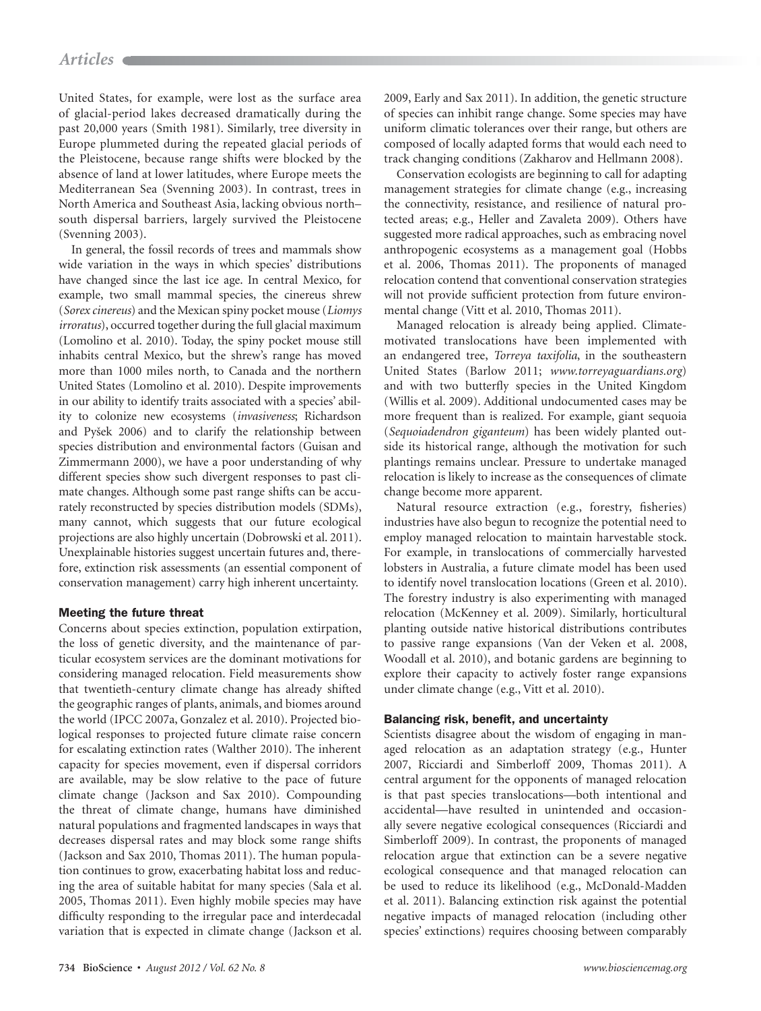United States, for example, were lost as the surface area of glacial-period lakes decreased dramatically during the past 20,000 years (Smith 1981). Similarly, tree diversity in Europe plummeted during the repeated glacial periods of the Pleistocene, because range shifts were blocked by the absence of land at lower latitudes, where Europe meets the Mediterranean Sea (Svenning 2003). In contrast, trees in North America and Southeast Asia, lacking obvious north– south dispersal barriers, largely survived the Pleistocene (Svenning 2003).

In general, the fossil records of trees and mammals show wide variation in the ways in which species' distributions have changed since the last ice age. In central Mexico, for example, two small mammal species, the cinereus shrew (*Sorex cinereus*) and the Mexican spiny pocket mouse (*Liomys irroratus*), occurred together during the full glacial maximum (Lomolino et al. 2010). Today, the spiny pocket mouse still inhabits central Mexico, but the shrew's range has moved more than 1000 miles north, to Canada and the northern United States (Lomolino et al. 2010). Despite improvements in our ability to identify traits associated with a species' ability to colonize new ecosystems (*invasiveness*; Richardson and Pyšek 2006) and to clarify the relationship between species distribution and environmental factors (Guisan and Zimmermann 2000), we have a poor understanding of why different species show such divergent responses to past climate changes. Although some past range shifts can be accurately reconstructed by species distribution models (SDMs), many cannot, which suggests that our future ecological projections are also highly uncertain (Dobrowski et al. 2011). Unexplainable histories suggest uncertain futures and, therefore, extinction risk assessments (an essential component of conservation management) carry high inherent uncertainty.

## Meeting the future threat

Concerns about species extinction, population extirpation, the loss of genetic diversity, and the maintenance of particular ecosystem services are the dominant motivations for considering managed relocation. Field measurements show that twentieth-century climate change has already shifted the geographic ranges of plants, animals, and biomes around the world (IPCC 2007a, Gonzalez et al. 2010). Projected biological responses to projected future climate raise concern for escalating extinction rates (Walther 2010). The inherent capacity for species movement, even if dispersal corridors are available, may be slow relative to the pace of future climate change (Jackson and Sax 2010). Compounding the threat of climate change, humans have diminished natural populations and fragmented landscapes in ways that decreases dispersal rates and may block some range shifts (Jackson and Sax 2010, Thomas 2011). The human population continues to grow, exacerbating habitat loss and reducing the area of suitable habitat for many species (Sala et al. 2005, Thomas 2011). Even highly mobile species may have difficulty responding to the irregular pace and interdecadal variation that is expected in climate change (Jackson et al.

2009, Early and Sax 2011). In addition, the genetic structure of species can inhibit range change. Some species may have uniform climatic tolerances over their range, but others are composed of locally adapted forms that would each need to track changing conditions (Zakharov and Hellmann 2008).

Conservation ecologists are beginning to call for adapting management strategies for climate change (e.g., increasing the connectivity, resistance, and resilience of natural protected areas; e.g., Heller and Zavaleta 2009). Others have suggested more radical approaches, such as embracing novel anthropogenic ecosystems as a management goal (Hobbs et al. 2006, Thomas 2011). The proponents of managed relocation contend that conventional conservation strategies will not provide sufficient protection from future environmental change (Vitt et al. 2010, Thomas 2011).

Managed relocation is already being applied. Climatemotivated translocations have been implemented with an endangered tree, *Torreya taxifolia*, in the southeastern United States (Barlow 2011; *www.torreyaguardians.org*) and with two butterfly species in the United Kingdom (Willis et al. 2009). Additional undocumented cases may be more frequent than is realized. For example, giant sequoia (*Sequoiadendron giganteum*) has been widely planted outside its historical range, although the motivation for such plantings remains unclear. Pressure to undertake managed relocation is likely to increase as the consequences of climate change become more apparent.

Natural resource extraction (e.g., forestry, fisheries) industries have also begun to recognize the potential need to employ managed relocation to maintain harvestable stock. For example, in translocations of commercially harvested lobsters in Australia, a future climate model has been used to identify novel translocation locations (Green et al. 2010). The forestry industry is also experimenting with managed relocation (McKenney et al. 2009). Similarly, horticultural planting outside native historical distributions contributes to passive range expansions (Van der Veken et al. 2008, Woodall et al. 2010), and botanic gardens are beginning to explore their capacity to actively foster range expansions under climate change (e.g., Vitt et al. 2010).

# Balancing risk, benefit, and uncertainty

Scientists disagree about the wisdom of engaging in managed relocation as an adaptation strategy (e.g., Hunter 2007, Ricciardi and Simberloff 2009, Thomas 2011). A central argument for the opponents of managed relocation is that past species translocations—both intentional and accidental—have resulted in unintended and occasionally severe negative ecological consequences (Ricciardi and Simberloff 2009). In contrast, the proponents of managed relocation argue that extinction can be a severe negative ecological consequence and that managed relocation can be used to reduce its likelihood (e.g., McDonald-Madden et al. 2011). Balancing extinction risk against the potential negative impacts of managed relocation (including other species' extinctions) requires choosing between comparably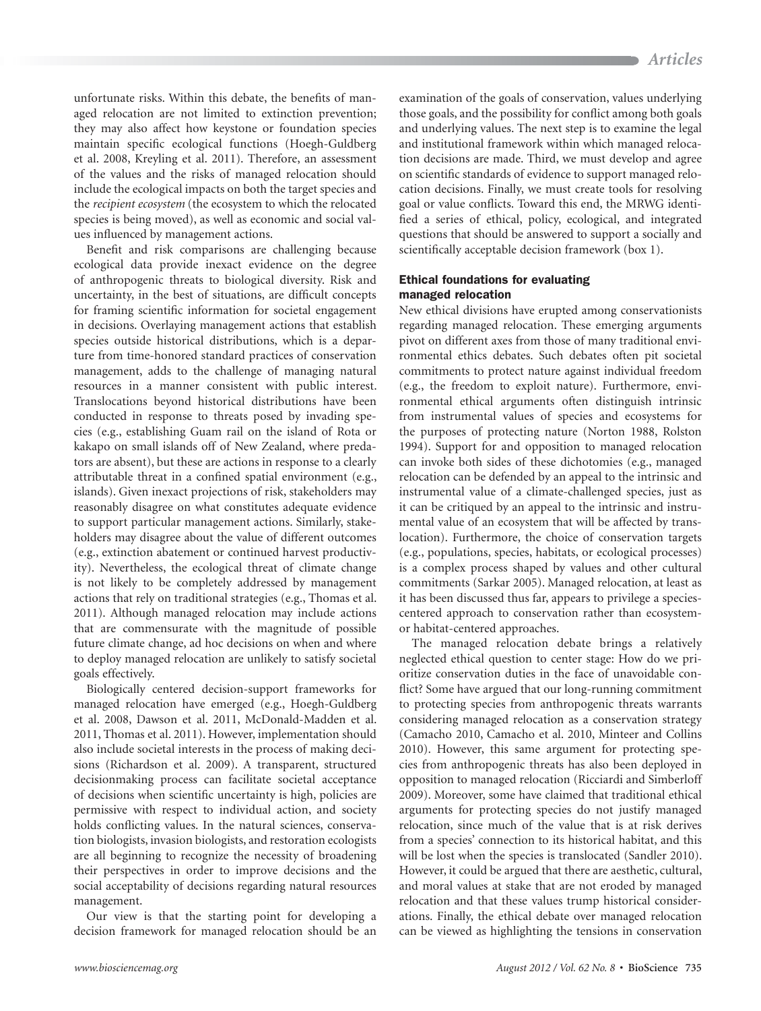unfortunate risks. Within this debate, the benefits of managed relocation are not limited to extinction prevention; they may also affect how keystone or foundation species maintain specific ecological functions (Hoegh-Guldberg et al. 2008, Kreyling et al. 2011). Therefore, an assessment of the values and the risks of managed relocation should include the ecological impacts on both the target species and the *recipient ecosystem* (the ecosystem to which the relocated species is being moved), as well as economic and social values influenced by management actions.

Benefit and risk comparisons are challenging because ecological data provide inexact evidence on the degree of anthropogenic threats to biological diversity. Risk and uncertainty, in the best of situations, are difficult concepts for framing scientific information for societal engagement in decisions. Overlaying management actions that establish species outside historical distributions, which is a departure from time-honored standard practices of conservation management, adds to the challenge of managing natural resources in a manner consistent with public interest. Translocations beyond historical distributions have been conducted in response to threats posed by invading species (e.g., establishing Guam rail on the island of Rota or kakapo on small islands off of New Zealand, where predators are absent), but these are actions in response to a clearly attributable threat in a confined spatial environment (e.g., islands). Given inexact projections of risk, stakeholders may reasonably disagree on what constitutes adequate evidence to support particular management actions. Similarly, stakeholders may disagree about the value of different outcomes (e.g., extinction abatement or continued harvest productivity). Nevertheless, the ecological threat of climate change is not likely to be completely addressed by management actions that rely on traditional strategies (e.g., Thomas et al. 2011). Although managed relocation may include actions that are commensurate with the magnitude of possible future climate change, ad hoc decisions on when and where to deploy managed relocation are unlikely to satisfy societal goals effectively.

Biologically centered decision-support frameworks for managed relocation have emerged (e.g., Hoegh-Guldberg et al. 2008, Dawson et al. 2011, McDonald-Madden et al. 2011, Thomas et al. 2011). However, implementation should also include societal interests in the process of making decisions (Richardson et al. 2009). A transparent, structured decisionmaking process can facilitate societal acceptance of decisions when scientific uncertainty is high, policies are permissive with respect to individual action, and society holds conflicting values. In the natural sciences, conservation biologists, invasion biologists, and restoration ecologists are all beginning to recognize the necessity of broadening their perspectives in order to improve decisions and the social acceptability of decisions regarding natural resources management.

Our view is that the starting point for developing a decision framework for managed relocation should be an examination of the goals of conservation, values underlying those goals, and the possibility for conflict among both goals and underlying values. The next step is to examine the legal and institutional framework within which managed relocation decisions are made. Third, we must develop and agree on scientific standards of evidence to support managed relocation decisions. Finally, we must create tools for resolving goal or value conflicts. Toward this end, the MRWG identified a series of ethical, policy, ecological, and integrated questions that should be answered to support a socially and scientifically acceptable decision framework (box 1).

# Ethical foundations for evaluating managed relocation

New ethical divisions have erupted among conservationists regarding managed relocation. These emerging arguments pivot on different axes from those of many traditional environmental ethics debates. Such debates often pit societal commitments to protect nature against individual freedom (e.g., the freedom to exploit nature). Furthermore, environmental ethical arguments often distinguish intrinsic from instrumental values of species and ecosystems for the purposes of protecting nature (Norton 1988, Rolston 1994). Support for and opposition to managed relocation can invoke both sides of these dichotomies (e.g., managed relocation can be defended by an appeal to the intrinsic and instrumental value of a climate-challenged species, just as it can be critiqued by an appeal to the intrinsic and instrumental value of an ecosystem that will be affected by translocation). Furthermore, the choice of conservation targets (e.g., populations, species, habitats, or ecological processes) is a complex process shaped by values and other cultural commitments (Sarkar 2005). Managed relocation, at least as it has been discussed thus far, appears to privilege a speciescentered approach to conservation rather than ecosystemor habitat-centered approaches.

The managed relocation debate brings a relatively neglected ethical question to center stage: How do we prioritize conservation duties in the face of unavoidable conflict? Some have argued that our long-running commitment to protecting species from anthropogenic threats warrants considering managed relocation as a conservation strategy (Camacho 2010, Camacho et al. 2010, Minteer and Collins 2010). However, this same argument for protecting species from anthropogenic threats has also been deployed in opposition to managed relocation (Ricciardi and Simberloff 2009). Moreover, some have claimed that traditional ethical arguments for protecting species do not justify managed relocation, since much of the value that is at risk derives from a species' connection to its historical habitat, and this will be lost when the species is translocated (Sandler 2010). However, it could be argued that there are aesthetic, cultural, and moral values at stake that are not eroded by managed relocation and that these values trump historical considerations. Finally, the ethical debate over managed relocation can be viewed as highlighting the tensions in conservation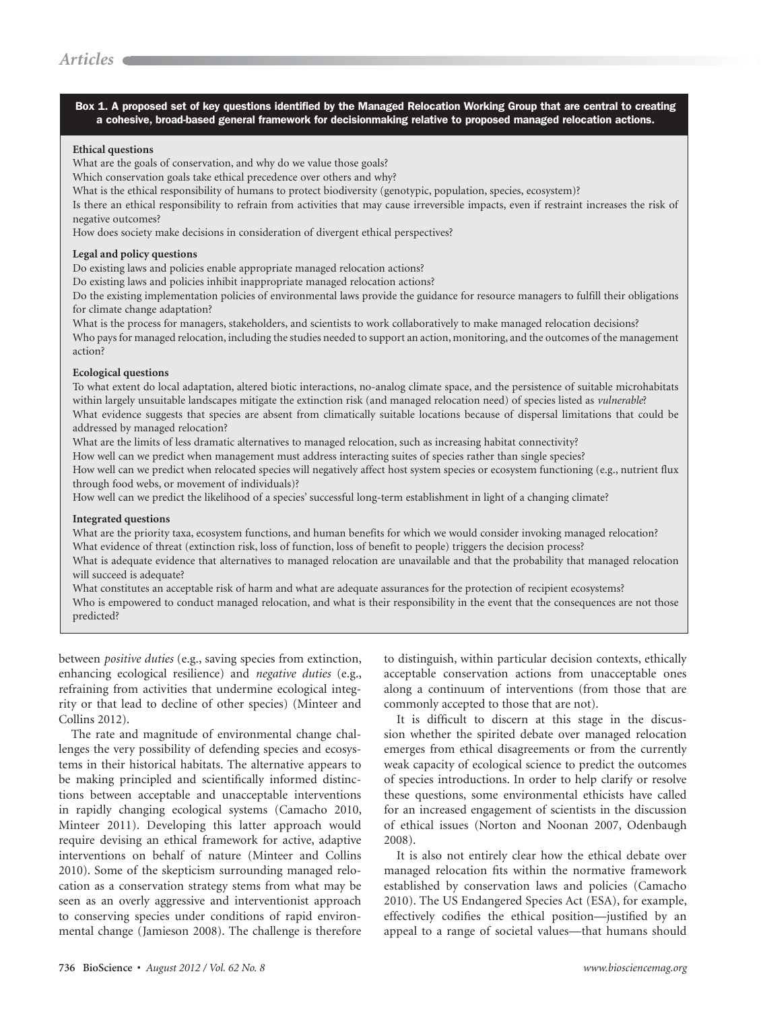## Box 1. A proposed set of key questions identified by the Managed Relocation Working Group that are central to creating a cohesive, broad-based general framework for decisionmaking relative to proposed managed relocation actions.

#### **Ethical questions**

What are the goals of conservation, and why do we value those goals?

Which conservation goals take ethical precedence over others and why?

What is the ethical responsibility of humans to protect biodiversity (genotypic, population, species, ecosystem)?

Is there an ethical responsibility to refrain from activities that may cause irreversible impacts, even if restraint increases the risk of negative outcomes?

How does society make decisions in consideration of divergent ethical perspectives?

#### **Legal and policy questions**

Do existing laws and policies enable appropriate managed relocation actions?

Do existing laws and policies inhibit inappropriate managed relocation actions?

Do the existing implementation policies of environmental laws provide the guidance for resource managers to fulfill their obligations for climate change adaptation?

What is the process for managers, stakeholders, and scientists to work collaboratively to make managed relocation decisions? Who pays for managed relocation, including the studies needed to support an action, monitoring, and the outcomes of the management action?

#### **Ecological questions**

To what extent do local adaptation, altered biotic interactions, no-analog climate space, and the persistence of suitable microhabitats within largely unsuitable landscapes mitigate the extinction risk (and managed relocation need) of species listed as *vulnerable*? What evidence suggests that species are absent from climatically suitable locations because of dispersal limitations that could be addressed by managed relocation?

What are the limits of less dramatic alternatives to managed relocation, such as increasing habitat connectivity?

How well can we predict when management must address interacting suites of species rather than single species?

How well can we predict when relocated species will negatively affect host system species or ecosystem functioning (e.g., nutrient flux through food webs, or movement of individuals)?

How well can we predict the likelihood of a species' successful long-term establishment in light of a changing climate?

#### **Integrated questions**

What are the priority taxa, ecosystem functions, and human benefits for which we would consider invoking managed relocation? What evidence of threat (extinction risk, loss of function, loss of benefit to people) triggers the decision process?

What is adequate evidence that alternatives to managed relocation are unavailable and that the probability that managed relocation will succeed is adequate?

What constitutes an acceptable risk of harm and what are adequate assurances for the protection of recipient ecosystems? Who is empowered to conduct managed relocation, and what is their responsibility in the event that the consequences are not those predicted?

between *positive duties* (e.g., saving species from extinction, enhancing ecological resilience) and *negative duties* (e.g., refraining from activities that undermine ecological integrity or that lead to decline of other species) (Minteer and Collins 2012).

The rate and magnitude of environmental change challenges the very possibility of defending species and ecosystems in their historical habitats. The alternative appears to be making principled and scientifically informed distinctions between acceptable and unacceptable interventions in rapidly changing ecological systems (Camacho 2010, Minteer 2011). Developing this latter approach would require devising an ethical framework for active, adaptive interventions on behalf of nature (Minteer and Collins 2010). Some of the skepticism surrounding managed relocation as a conservation strategy stems from what may be seen as an overly aggressive and interventionist approach to conserving species under conditions of rapid environmental change (Jamieson 2008). The challenge is therefore

to distinguish, within particular decision contexts, ethically acceptable conservation actions from unacceptable ones along a continuum of interventions (from those that are commonly accepted to those that are not).

It is difficult to discern at this stage in the discussion whether the spirited debate over managed relocation emerges from ethical disagreements or from the currently weak capacity of ecological science to predict the outcomes of species introductions. In order to help clarify or resolve these questions, some environmental ethicists have called for an increased engagement of scientists in the discussion of ethical issues (Norton and Noonan 2007, Odenbaugh 2008).

It is also not entirely clear how the ethical debate over managed relocation fits within the normative framework established by conservation laws and policies (Camacho 2010). The US Endangered Species Act (ESA), for example, effectively codifies the ethical position—justified by an appeal to a range of societal values—that humans should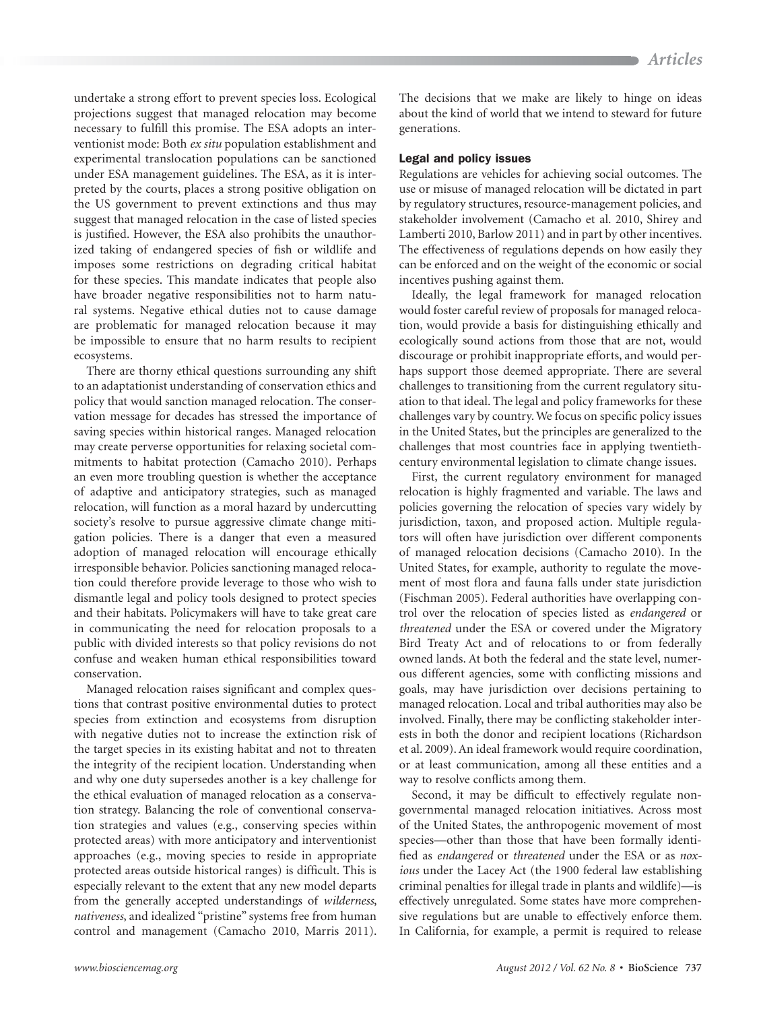undertake a strong effort to prevent species loss. Ecological projections suggest that managed relocation may become necessary to fulfill this promise. The ESA adopts an interventionist mode: Both *ex situ* population establishment and experimental translocation populations can be sanctioned under ESA management guidelines. The ESA, as it is interpreted by the courts, places a strong positive obligation on the US government to prevent extinctions and thus may suggest that managed relocation in the case of listed species is justified. However, the ESA also prohibits the unauthorized taking of endangered species of fish or wildlife and imposes some restrictions on degrading critical habitat for these species. This mandate indicates that people also have broader negative responsibilities not to harm natural systems. Negative ethical duties not to cause damage are problematic for managed relocation because it may be impossible to ensure that no harm results to recipient ecosystems.

There are thorny ethical questions surrounding any shift to an adaptationist understanding of conservation ethics and policy that would sanction managed relocation. The conservation message for decades has stressed the importance of saving species within historical ranges. Managed relocation may create perverse opportunities for relaxing societal commitments to habitat protection (Camacho 2010). Perhaps an even more troubling question is whether the acceptance of adaptive and anticipatory strategies, such as managed relocation, will function as a moral hazard by undercutting society's resolve to pursue aggressive climate change mitigation policies. There is a danger that even a measured adoption of managed relocation will encourage ethically irresponsible behavior. Policies sanctioning managed relocation could therefore provide leverage to those who wish to dismantle legal and policy tools designed to protect species and their habitats. Policymakers will have to take great care in communicating the need for relocation proposals to a public with divided interests so that policy revisions do not confuse and weaken human ethical responsibilities toward conservation.

Managed relocation raises significant and complex questions that contrast positive environmental duties to protect species from extinction and ecosystems from disruption with negative duties not to increase the extinction risk of the target species in its existing habitat and not to threaten the integrity of the recipient location. Understanding when and why one duty supersedes another is a key challenge for the ethical evaluation of managed relocation as a conservation strategy. Balancing the role of conventional conservation strategies and values (e.g., conserving species within protected areas) with more anticipatory and interventionist approaches (e.g., moving species to reside in appropriate protected areas outside historical ranges) is difficult. This is especially relevant to the extent that any new model departs from the generally accepted understandings of *wilderness*, *nativeness*, and idealized "pristine" systems free from human control and management (Camacho 2010, Marris 2011). The decisions that we make are likely to hinge on ideas about the kind of world that we intend to steward for future generations.

# Legal and policy issues

Regulations are vehicles for achieving social outcomes. The use or misuse of managed relocation will be dictated in part by regulatory structures, resource-management policies, and stakeholder involvement (Camacho et al. 2010, Shirey and Lamberti 2010, Barlow 2011) and in part by other incentives. The effectiveness of regulations depends on how easily they can be enforced and on the weight of the economic or social incentives pushing against them.

Ideally, the legal framework for managed relocation would foster careful review of proposals for managed relocation, would provide a basis for distinguishing ethically and ecologically sound actions from those that are not, would discourage or prohibit inappropriate efforts, and would perhaps support those deemed appropriate. There are several challenges to transitioning from the current regulatory situation to that ideal. The legal and policy frameworks for these challenges vary by country. We focus on specific policy issues in the United States, but the principles are generalized to the challenges that most countries face in applying twentiethcentury environmental legislation to climate change issues.

First, the current regulatory environment for managed relocation is highly fragmented and variable. The laws and policies governing the relocation of species vary widely by jurisdiction, taxon, and proposed action. Multiple regulators will often have jurisdiction over different components of managed relocation decisions (Camacho 2010). In the United States, for example, authority to regulate the movement of most flora and fauna falls under state jurisdiction (Fischman 2005). Federal authorities have overlapping control over the relocation of species listed as *endangered* or *threatened* under the ESA or covered under the Migratory Bird Treaty Act and of relocations to or from federally owned lands. At both the federal and the state level, numerous different agencies, some with conflicting missions and goals, may have jurisdiction over decisions pertaining to managed relocation. Local and tribal authorities may also be involved. Finally, there may be conflicting stakeholder interests in both the donor and recipient locations (Richardson et al. 2009). An ideal framework would require coordination, or at least communication, among all these entities and a way to resolve conflicts among them.

Second, it may be difficult to effectively regulate nongovernmental managed relocation initiatives. Across most of the United States, the anthropogenic movement of most species—other than those that have been formally identified as *endangered* or *threatened* under the ESA or as *noxious* under the Lacey Act (the 1900 federal law establishing criminal penalties for illegal trade in plants and wildlife)—is effectively unregulated. Some states have more comprehensive regulations but are unable to effectively enforce them. In California, for example, a permit is required to release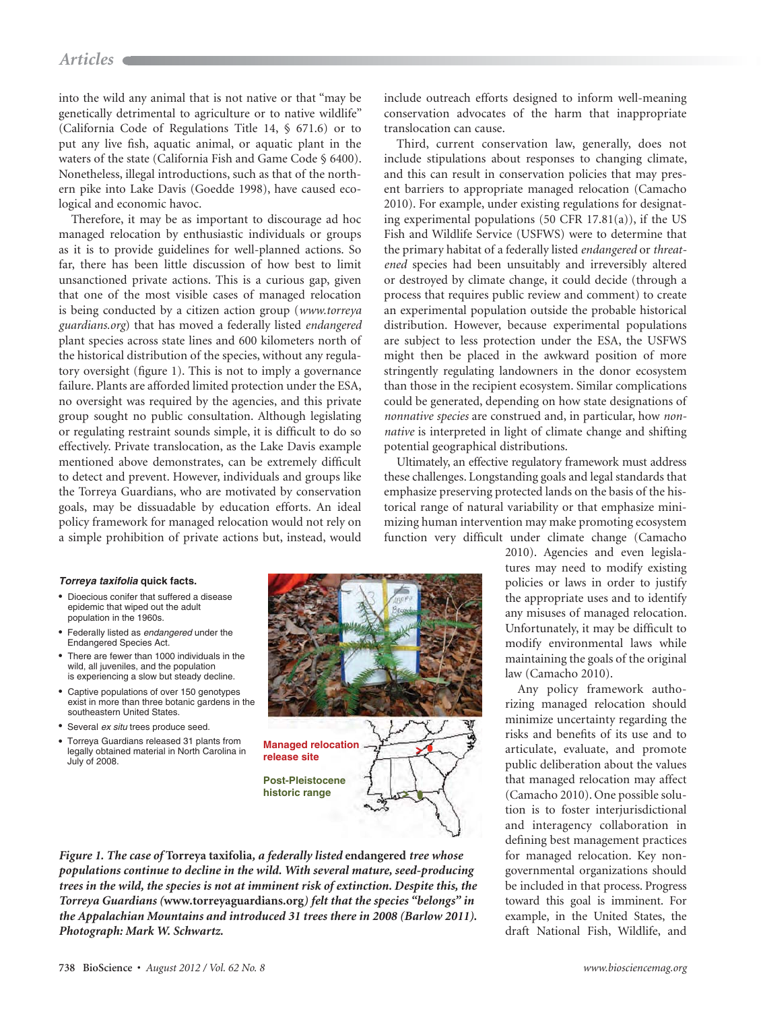# *Articles*

into the wild any animal that is not native or that "may be genetically detrimental to agriculture or to native wildlife" (California Code of Regulations Title 14, § 671.6) or to put any live fish, aquatic animal, or aquatic plant in the waters of the state (California Fish and Game Code § 6400). Nonetheless, illegal introductions, such as that of the northern pike into Lake Davis (Goedde 1998), have caused ecological and economic havoc.

Therefore, it may be as important to discourage ad hoc managed relocation by enthusiastic individuals or groups as it is to provide guidelines for well-planned actions. So far, there has been little discussion of how best to limit unsanctioned private actions. This is a curious gap, given that one of the most visible cases of managed relocation is being conducted by a citizen action group (*www.torreya guardians.org*) that has moved a federally listed *endangered* plant species across state lines and 600 kilometers north of the historical distribution of the species, without any regulatory oversight (figure 1). This is not to imply a governance failure. Plants are afforded limited protection under the ESA, no oversight was required by the agencies, and this private group sought no public consultation. Although legislating or regulating restraint sounds simple, it is difficult to do so effectively. Private translocation, as the Lake Davis example mentioned above demonstrates, can be extremely difficult to detect and prevent. However, individuals and groups like the Torreya Guardians, who are motivated by conservation goals, may be dissuadable by education efforts. An ideal policy framework for managed relocation would not rely on a simple prohibition of private actions but, instead, would

#### *Torreya taxifolia* **quick facts.**

- . Dioecious conifer that suffered a disease epidemic that wiped out the adult population in the 1960s.
- **•** Federally listed as endangered under the Endangered Species Act.
- . There are fewer than 1000 individuals in the wild, all juveniles, and the population is experiencing a slow but steady decline.
- . Captive populations of over 150 genotypes exist in more than three botanic gardens in the southeastern United States.
- **Several ex situ trees produce seed.**
- . Torreya Guardians released 31 plants from legally obtained material in North Carolina in July of 2008.

**Managed relocation release site Post-Pleistocene historic range**

*Figure 1. The case of* **Torreya taxifolia***, a federally listed* **endangered** *tree whose populations continue to decline in the wild. With several mature, seed-producing trees in the wild, the species is not at imminent risk of extinction. Despite this, the Torreya Guardians (***www.torreyaguardians.org***) felt that the species "belongs" in the Appalachian Mountains and introduced 31 trees there in 2008 (Barlow 2011). Photograph: Mark W. Schwartz.*

include outreach efforts designed to inform well-meaning conservation advocates of the harm that inappropriate translocation can cause.

Third, current conservation law, generally, does not include stipulations about responses to changing climate, and this can result in conservation policies that may present barriers to appropriate managed relocation (Camacho 2010). For example, under existing regulations for designating experimental populations (50 CFR 17.81(a)), if the US Fish and Wildlife Service (USFWS) were to determine that the primary habitat of a federally listed *endangered* or *threatened* species had been unsuitably and irreversibly altered or destroyed by climate change, it could decide (through a process that requires public review and comment) to create an experimental population outside the probable historical distribution. However, because experimental populations are subject to less protection under the ESA, the USFWS might then be placed in the awkward position of more stringently regulating landowners in the donor ecosystem than those in the recipient ecosystem. Similar complications could be generated, depending on how state designations of *nonnative species* are construed and, in particular, how *nonnative* is interpreted in light of climate change and shifting potential geographical distributions.

Ultimately, an effective regulatory framework must address these challenges. Longstanding goals and legal standards that emphasize preserving protected lands on the basis of the historical range of natural variability or that emphasize minimizing human intervention may make promoting ecosystem function very difficult under climate change (Camacho

2010). Agencies and even legislatures may need to modify existing policies or laws in order to justify the appropriate uses and to identify any misuses of managed relocation. Unfortunately, it may be difficult to modify environmental laws while maintaining the goals of the original law (Camacho 2010).

Any policy framework authorizing managed relocation should minimize uncertainty regarding the risks and benefits of its use and to articulate, evaluate, and promote public deliberation about the values that managed relocation may affect (Camacho 2010). One possible solution is to foster interjurisdictional and interagency collaboration in defining best management practices for managed relocation. Key nongovernmental organizations should be included in that process. Progress toward this goal is imminent. For example, in the United States, the draft National Fish, Wildlife, and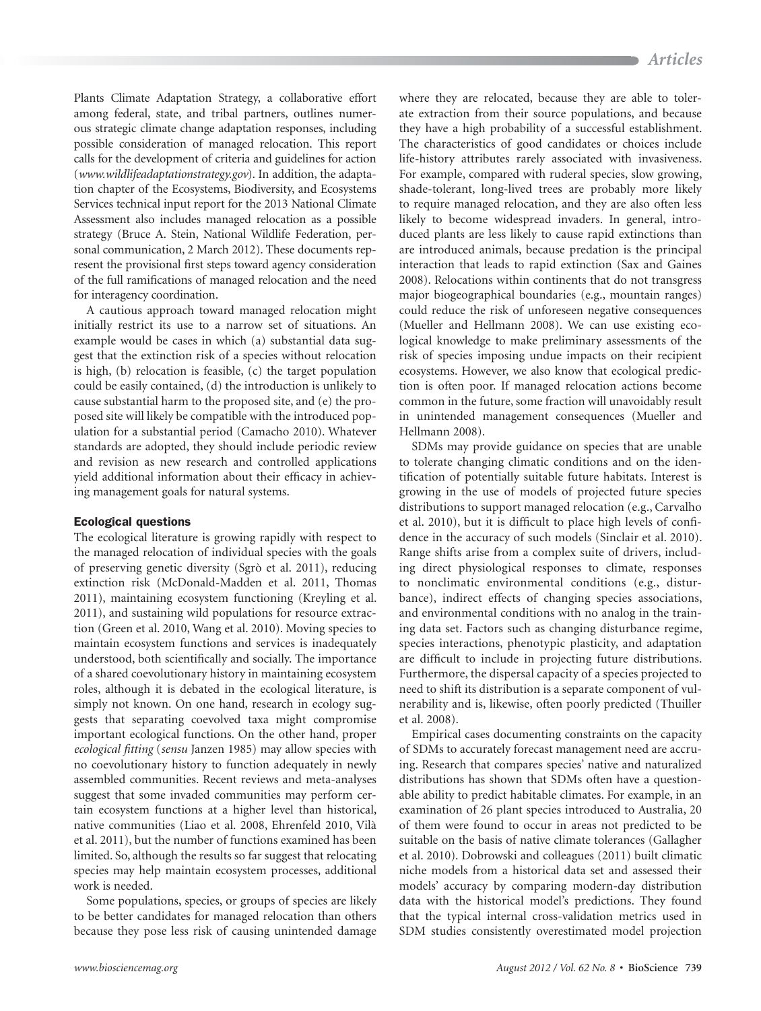Plants Climate Adaptation Strategy, a collaborative effort among federal, state, and tribal partners, outlines numerous strategic climate change adaptation responses, including possible consideration of managed relocation. This report calls for the development of criteria and guidelines for action (*www.wildlifeadaptationstrategy.gov*). In addition, the adaptation chapter of the Ecosystems, Biodiversity, and Ecosystems Services technical input report for the 2013 National Climate Assessment also includes managed relocation as a possible strategy (Bruce A. Stein, National Wildlife Federation, personal communication, 2 March 2012). These documents represent the provisional first steps toward agency consideration of the full ramifications of managed relocation and the need for interagency coordination.

A cautious approach toward managed relocation might initially restrict its use to a narrow set of situations. An example would be cases in which (a) substantial data suggest that the extinction risk of a species without relocation is high, (b) relocation is feasible, (c) the target population could be easily contained, (d) the introduction is unlikely to cause substantial harm to the proposed site, and (e) the proposed site will likely be compatible with the introduced population for a substantial period (Camacho 2010). Whatever standards are adopted, they should include periodic review and revision as new research and controlled applications yield additional information about their efficacy in achieving management goals for natural systems.

# Ecological questions

The ecological literature is growing rapidly with respect to the managed relocation of individual species with the goals of preserving genetic diversity (Sgrò et al. 2011), reducing extinction risk (McDonald-Madden et al. 2011, Thomas 2011), maintaining ecosystem functioning (Kreyling et al. 2011), and sustaining wild populations for resource extraction (Green et al. 2010, Wang et al. 2010). Moving species to maintain ecosystem functions and services is inadequately understood, both scientifically and socially. The importance of a shared coevolutionary history in maintaining ecosystem roles, although it is debated in the ecological literature, is simply not known. On one hand, research in ecology suggests that separating coevolved taxa might compromise important ecological functions. On the other hand, proper *ecological fitting* (*sensu* Janzen 1985) may allow species with no coevolutionary history to function adequately in newly assembled communities. Recent reviews and meta-analyses suggest that some invaded communities may perform certain ecosystem functions at a higher level than historical, native communities (Liao et al. 2008, Ehrenfeld 2010, Vilà et al. 2011), but the number of functions examined has been limited. So, although the results so far suggest that relocating species may help maintain ecosystem processes, additional work is needed.

Some populations, species, or groups of species are likely to be better candidates for managed relocation than others because they pose less risk of causing unintended damage where they are relocated, because they are able to tolerate extraction from their source populations, and because they have a high probability of a successful establishment. The characteristics of good candidates or choices include life-history attributes rarely associated with invasiveness. For example, compared with ruderal species, slow growing, shade-tolerant, long-lived trees are probably more likely to require managed relocation, and they are also often less likely to become widespread invaders. In general, introduced plants are less likely to cause rapid extinctions than are introduced animals, because predation is the principal interaction that leads to rapid extinction (Sax and Gaines 2008). Relocations within continents that do not transgress major biogeographical boundaries (e.g., mountain ranges) could reduce the risk of unforeseen negative consequences (Mueller and Hellmann 2008). We can use existing ecological knowledge to make preliminary assessments of the risk of species imposing undue impacts on their recipient ecosystems. However, we also know that ecological prediction is often poor. If managed relocation actions become common in the future, some fraction will unavoidably result in unintended management consequences (Mueller and Hellmann 2008).

SDMs may provide guidance on species that are unable to tolerate changing climatic conditions and on the identification of potentially suitable future habitats. Interest is growing in the use of models of projected future species distributions to support managed relocation (e.g., Carvalho et al. 2010), but it is difficult to place high levels of confidence in the accuracy of such models (Sinclair et al. 2010). Range shifts arise from a complex suite of drivers, including direct physiological responses to climate, responses to nonclimatic environmental conditions (e.g., disturbance), indirect effects of changing species associations, and environmental conditions with no analog in the training data set. Factors such as changing disturbance regime, species interactions, phenotypic plasticity, and adaptation are difficult to include in projecting future distributions. Furthermore, the dispersal capacity of a species projected to need to shift its distribution is a separate component of vulnerability and is, likewise, often poorly predicted (Thuiller et al. 2008).

Empirical cases documenting constraints on the capacity of SDMs to accurately forecast management need are accruing. Research that compares species' native and naturalized distributions has shown that SDMs often have a questionable ability to predict habitable climates. For example, in an examination of 26 plant species introduced to Australia, 20 of them were found to occur in areas not predicted to be suitable on the basis of native climate tolerances (Gallagher et al. 2010). Dobrowski and colleagues (2011) built climatic niche models from a historical data set and assessed their models' accuracy by comparing modern-day distribution data with the historical model's predictions. They found that the typical internal cross-validation metrics used in SDM studies consistently overestimated model projection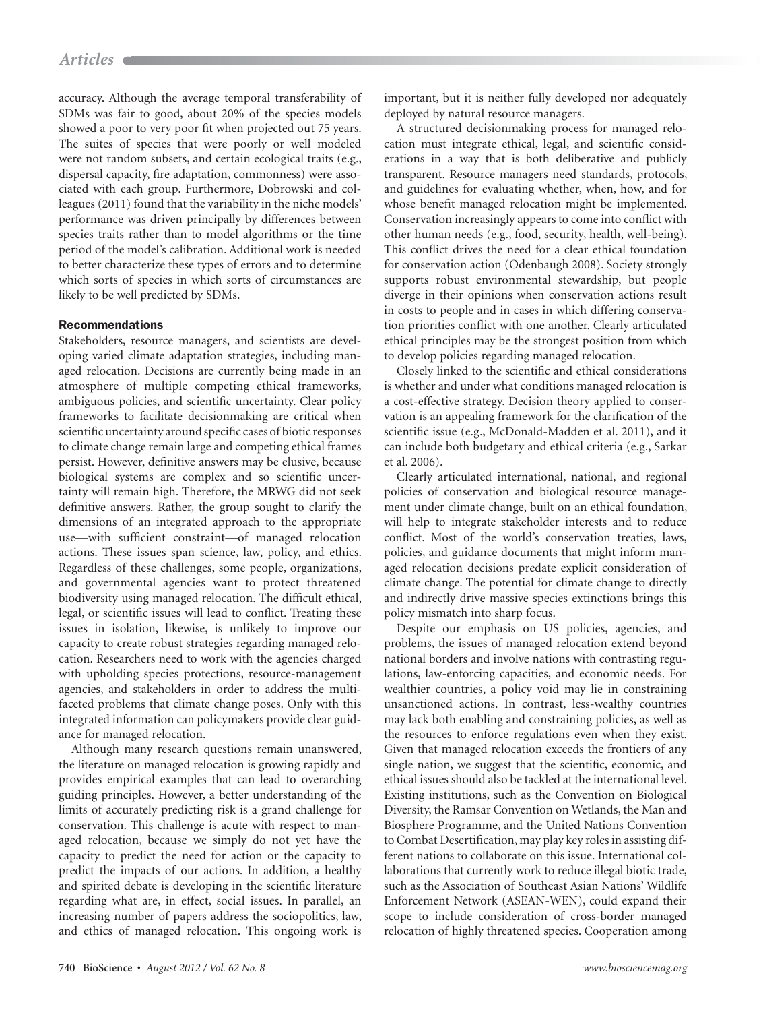accuracy. Although the average temporal transferability of SDMs was fair to good, about 20% of the species models showed a poor to very poor fit when projected out 75 years. The suites of species that were poorly or well modeled were not random subsets, and certain ecological traits (e.g., dispersal capacity, fire adaptation, commonness) were associated with each group. Furthermore, Dobrowski and colleagues (2011) found that the variability in the niche models' performance was driven principally by differences between species traits rather than to model algorithms or the time period of the model's calibration. Additional work is needed to better characterize these types of errors and to determine which sorts of species in which sorts of circumstances are likely to be well predicted by SDMs.

## Recommendations

Stakeholders, resource managers, and scientists are developing varied climate adaptation strategies, including managed relocation. Decisions are currently being made in an atmosphere of multiple competing ethical frameworks, ambiguous policies, and scientific uncertainty. Clear policy frameworks to facilitate decisionmaking are critical when scientific uncertainty around specific cases of biotic responses to climate change remain large and competing ethical frames persist. However, definitive answers may be elusive, because biological systems are complex and so scientific uncertainty will remain high. Therefore, the MRWG did not seek definitive answers. Rather, the group sought to clarify the dimensions of an integrated approach to the appropriate use—with sufficient constraint—of managed relocation actions. These issues span science, law, policy, and ethics. Regardless of these challenges, some people, organizations, and governmental agencies want to protect threatened biodiversity using managed relocation. The difficult ethical, legal, or scientific issues will lead to conflict. Treating these issues in isolation, likewise, is unlikely to improve our capacity to create robust strategies regarding managed relocation. Researchers need to work with the agencies charged with upholding species protections, resource-management agencies, and stakeholders in order to address the multifaceted problems that climate change poses. Only with this integrated information can policymakers provide clear guidance for managed relocation.

Although many research questions remain unanswered, the literature on managed relocation is growing rapidly and provides empirical examples that can lead to overarching guiding principles. However, a better understanding of the limits of accurately predicting risk is a grand challenge for conservation. This challenge is acute with respect to managed relocation, because we simply do not yet have the capacity to predict the need for action or the capacity to predict the impacts of our actions. In addition, a healthy and spirited debate is developing in the scientific literature regarding what are, in effect, social issues. In parallel, an increasing number of papers address the sociopolitics, law, and ethics of managed relocation. This ongoing work is

important, but it is neither fully developed nor adequately deployed by natural resource managers.

A structured decisionmaking process for managed relocation must integrate ethical, legal, and scientific considerations in a way that is both deliberative and publicly transparent. Resource managers need standards, protocols, and guidelines for evaluating whether, when, how, and for whose benefit managed relocation might be implemented. Conservation increasingly appears to come into conflict with other human needs (e.g., food, security, health, well-being). This conflict drives the need for a clear ethical foundation for conservation action (Odenbaugh 2008). Society strongly supports robust environmental stewardship, but people diverge in their opinions when conservation actions result in costs to people and in cases in which differing conservation priorities conflict with one another. Clearly articulated ethical principles may be the strongest position from which to develop policies regarding managed relocation.

Closely linked to the scientific and ethical considerations is whether and under what conditions managed relocation is a cost-effective strategy. Decision theory applied to conservation is an appealing framework for the clarification of the scientific issue (e.g., McDonald-Madden et al. 2011), and it can include both budgetary and ethical criteria (e.g., Sarkar et al. 2006).

Clearly articulated international, national, and regional policies of conservation and biological resource management under climate change, built on an ethical foundation, will help to integrate stakeholder interests and to reduce conflict. Most of the world's conservation treaties, laws, policies, and guidance documents that might inform managed relocation decisions predate explicit consideration of climate change. The potential for climate change to directly and indirectly drive massive species extinctions brings this policy mismatch into sharp focus.

Despite our emphasis on US policies, agencies, and problems, the issues of managed relocation extend beyond national borders and involve nations with contrasting regulations, law-enforcing capacities, and economic needs. For wealthier countries, a policy void may lie in constraining unsanctioned actions. In contrast, less-wealthy countries may lack both enabling and constraining policies, as well as the resources to enforce regulations even when they exist. Given that managed relocation exceeds the frontiers of any single nation, we suggest that the scientific, economic, and ethical issues should also be tackled at the international level. Existing institutions, such as the Convention on Biological Diversity, the Ramsar Convention on Wetlands, the Man and Biosphere Programme, and the United Nations Convention to Combat Desertification, may play key roles in assisting different nations to collaborate on this issue. International collaborations that currently work to reduce illegal biotic trade, such as the Association of Southeast Asian Nations' Wildlife Enforcement Network (ASEAN-WEN), could expand their scope to include consideration of cross-border managed relocation of highly threatened species. Cooperation among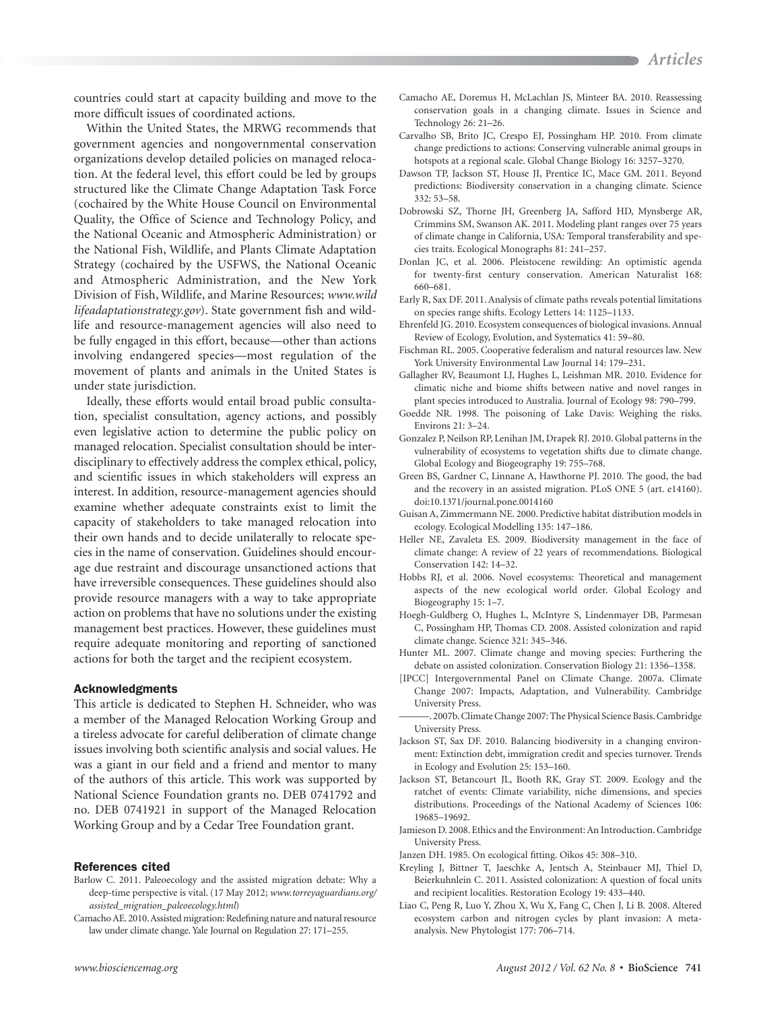countries could start at capacity building and move to the more difficult issues of coordinated actions.

Within the United States, the MRWG recommends that government agencies and nongovernmental conservation organizations develop detailed policies on managed relocation. At the federal level, this effort could be led by groups structured like the Climate Change Adaptation Task Force (cochaired by the White House Council on Environmental Quality, the Office of Science and Technology Policy, and the National Oceanic and Atmospheric Administration) or the National Fish, Wildlife, and Plants Climate Adaptation Strategy (cochaired by the USFWS, the National Oceanic and Atmospheric Administration, and the New York Division of Fish, Wildlife, and Marine Resources; *www.wild lifeadaptationstrategy.gov*). State government fish and wildlife and resource-management agencies will also need to be fully engaged in this effort, because—other than actions involving endangered species—most regulation of the movement of plants and animals in the United States is under state jurisdiction.

Ideally, these efforts would entail broad public consultation, specialist consultation, agency actions, and possibly even legislative action to determine the public policy on managed relocation. Specialist consultation should be interdisciplinary to effectively address the complex ethical, policy, and scientific issues in which stakeholders will express an interest. In addition, resource-management agencies should examine whether adequate constraints exist to limit the capacity of stakeholders to take managed relocation into their own hands and to decide unilaterally to relocate species in the name of conservation. Guidelines should encourage due restraint and discourage unsanctioned actions that have irreversible consequences. These guidelines should also provide resource managers with a way to take appropriate action on problems that have no solutions under the existing management best practices. However, these guidelines must require adequate monitoring and reporting of sanctioned actions for both the target and the recipient ecosystem.

# Acknowledgments

This article is dedicated to Stephen H. Schneider, who was a member of the Managed Relocation Working Group and a tireless advocate for careful deliberation of climate change issues involving both scientific analysis and social values. He was a giant in our field and a friend and mentor to many of the authors of this article. This work was supported by National Science Foundation grants no. DEB 0741792 and no. DEB 0741921 in support of the Managed Relocation Working Group and by a Cedar Tree Foundation grant.

#### References cited

- Barlow C. 2011. Paleoecology and the assisted migration debate: Why a deep-time perspective is vital. (17 May 2012; *www.torreyaguardians.org/ assisted\_migration\_paleoecology.html*)
- Camacho AE. 2010. Assisted migration: Redefining nature and natural resource law under climate change. Yale Journal on Regulation 27: 171–255.
- Camacho AE, Doremus H, McLachlan JS, Minteer BA. 2010. Reassessing conservation goals in a changing climate. Issues in Science and Technology 26: 21–26.
- Carvalho SB, Brito JC, Crespo EJ, Possingham HP. 2010. From climate change predictions to actions: Conserving vulnerable animal groups in hotspots at a regional scale. Global Change Biology 16: 3257–3270.
- Dawson TP, Jackson ST, House JI, Prentice IC, Mace GM. 2011. Beyond predictions: Biodiversity conservation in a changing climate. Science 332: 53–58.
- Dobrowski SZ, Thorne JH, Greenberg JA, Safford HD, Mynsberge AR, Crimmins SM, Swanson AK. 2011. Modeling plant ranges over 75 years of climate change in California, USA: Temporal transferability and species traits. Ecological Monographs 81: 241–257.
- Donlan JC, et al. 2006. Pleistocene rewilding: An optimistic agenda for twenty-first century conservation. American Naturalist 168: 660–681.
- Early R, Sax DF. 2011. Analysis of climate paths reveals potential limitations on species range shifts. Ecology Letters 14: 1125–1133.
- Ehrenfeld JG. 2010. Ecosystem consequences of biological invasions. Annual Review of Ecology, Evolution, and Systematics 41: 59–80.
- Fischman RL. 2005. Cooperative federalism and natural resources law. New York University Environmental Law Journal 14: 179–231.
- Gallagher RV, Beaumont LJ, Hughes L, Leishman MR. 2010. Evidence for climatic niche and biome shifts between native and novel ranges in plant species introduced to Australia. Journal of Ecology 98: 790–799.
- Goedde NR. 1998. The poisoning of Lake Davis: Weighing the risks. Environs 21: 3–24.
- Gonzalez P, Neilson RP, Lenihan JM, Drapek RJ. 2010. Global patterns in the vulnerability of ecosystems to vegetation shifts due to climate change. Global Ecology and Biogeography 19: 755–768.
- Green BS, Gardner C, Linnane A, Hawthorne PJ. 2010. The good, the bad and the recovery in an assisted migration. PLoS ONE 5 (art. e14160). doi:10.1371/journal.pone.0014160
- Guisan A, Zimmermann NE. 2000. Predictive habitat distribution models in ecology. Ecological Modelling 135: 147–186.
- Heller NE, Zavaleta ES. 2009. Biodiversity management in the face of climate change: A review of 22 years of recommendations. Biological Conservation 142: 14–32.
- Hobbs RJ, et al. 2006. Novel ecosystems: Theoretical and management aspects of the new ecological world order. Global Ecology and Biogeography 15: 1–7.
- Hoegh-Guldberg O, Hughes L, McIntyre S, Lindenmayer DB, Parmesan C, Possingham HP, Thomas CD. 2008. Assisted colonization and rapid climate change. Science 321: 345–346.
- Hunter ML. 2007. Climate change and moving species: Furthering the debate on assisted colonization. Conservation Biology 21: 1356–1358.
- [IPCC] Intergovernmental Panel on Climate Change. 2007a. Climate Change 2007: Impacts, Adaptation, and Vulnerability. Cambridge University Press.
- -. 2007b. Climate Change 2007: The Physical Science Basis. Cambridge University Press.
- Jackson ST, Sax DF. 2010. Balancing biodiversity in a changing environment: Extinction debt, immigration credit and species turnover. Trends in Ecology and Evolution 25: 153–160.
- Jackson ST, Betancourt JL, Booth RK, Gray ST. 2009. Ecology and the ratchet of events: Climate variability, niche dimensions, and species distributions. Proceedings of the National Academy of Sciences 106: 19685–19692.
- Jamieson D. 2008. Ethics and the Environment: An Introduction. Cambridge University Press.
- Janzen DH. 1985. On ecological fitting. Oikos 45: 308–310.
- Kreyling J, Bittner T, Jaeschke A, Jentsch A, Steinbauer MJ, Thiel D, Beierkuhnlein C. 2011. Assisted colonization: A question of focal units and recipient localities. Restoration Ecology 19: 433–440.
- Liao C, Peng R, Luo Y, Zhou X, Wu X, Fang C, Chen J, Li B. 2008. Altered ecosystem carbon and nitrogen cycles by plant invasion: A metaanalysis. New Phytologist 177: 706–714.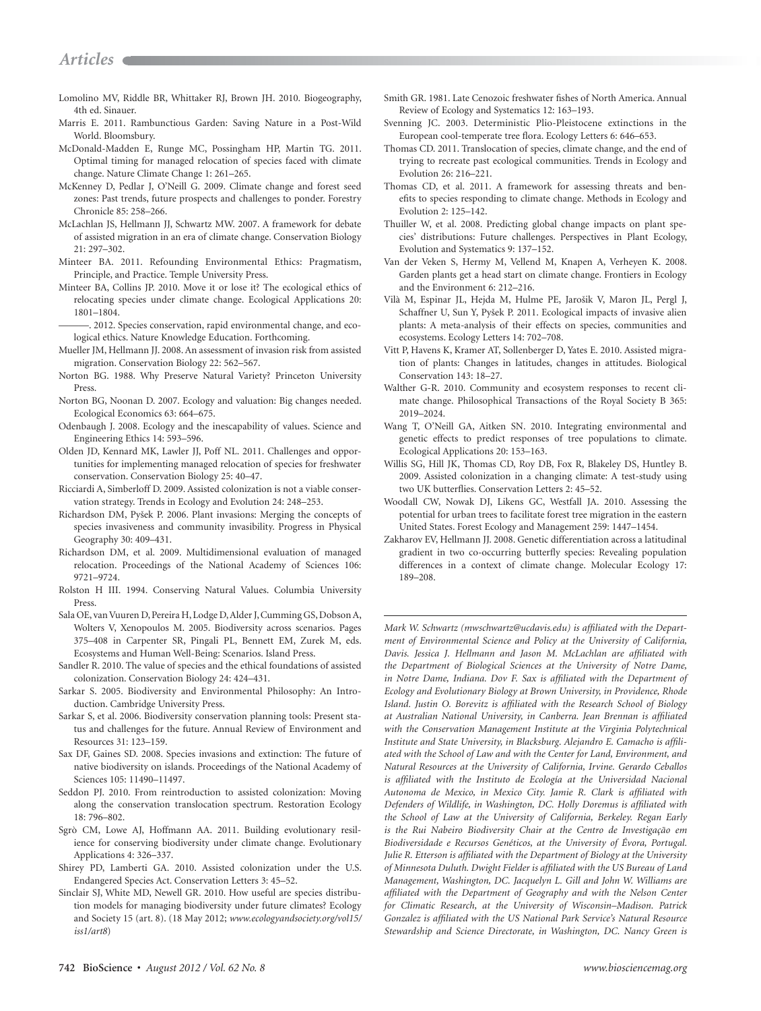- Lomolino MV, Riddle BR, Whittaker RJ, Brown JH. 2010. Biogeography, 4th ed. Sinauer.
- Marris E. 2011. Rambunctious Garden: Saving Nature in a Post-Wild World. Bloomsbury.
- McDonald-Madden E, Runge MC, Possingham HP, Martin TG. 2011. Optimal timing for managed relocation of species faced with climate change. Nature Climate Change 1: 261–265.
- McKenney D, Pedlar J, O'Neill G. 2009. Climate change and forest seed zones: Past trends, future prospects and challenges to ponder. Forestry Chronicle 85: 258–266.
- McLachlan JS, Hellmann JJ, Schwartz MW. 2007. A framework for debate of assisted migration in an era of climate change. Conservation Biology 21: 297–302.
- Minteer BA. 2011. Refounding Environmental Ethics: Pragmatism, Principle, and Practice. Temple University Press.
- Minteer BA, Collins JP. 2010. Move it or lose it? The ecological ethics of relocating species under climate change. Ecological Applications 20: 1801–1804.
- -. 2012. Species conservation, rapid environmental change, and ecological ethics. Nature Knowledge Education. Forthcoming.
- Mueller JM, Hellmann JJ. 2008. An assessment of invasion risk from assisted migration. Conservation Biology 22: 562–567.
- Norton BG. 1988. Why Preserve Natural Variety? Princeton University Press.
- Norton BG, Noonan D. 2007. Ecology and valuation: Big changes needed. Ecological Economics 63: 664–675.
- Odenbaugh J. 2008. Ecology and the inescapability of values. Science and Engineering Ethics 14: 593–596.
- Olden JD, Kennard MK, Lawler JJ, Poff NL. 2011. Challenges and opportunities for implementing managed relocation of species for freshwater conservation. Conservation Biology 25: 40–47.
- Ricciardi A, Simberloff D. 2009. Assisted colonization is not a viable conservation strategy. Trends in Ecology and Evolution 24: 248–253.
- Richardson DM, Pyšek P. 2006. Plant invasions: Merging the concepts of species invasiveness and community invasibility. Progress in Physical Geography 30: 409–431.
- Richardson DM, et al. 2009. Multidimensional evaluation of managed relocation. Proceedings of the National Academy of Sciences 106: 9721–9724.
- Rolston H III. 1994. Conserving Natural Values. Columbia University Press.
- Sala OE, van Vuuren D, Pereira H, Lodge D, Alder J, Cumming GS, Dobson A, Wolters V, Xenopoulos M. 2005. Biodiversity across scenarios. Pages 375–408 in Carpenter SR, Pingali PL, Bennett EM, Zurek M, eds. Ecosystems and Human Well-Being: Scenarios. Island Press.
- Sandler R. 2010. The value of species and the ethical foundations of assisted colonization. Conservation Biology 24: 424–431.
- Sarkar S. 2005. Biodiversity and Environmental Philosophy: An Introduction. Cambridge University Press.
- Sarkar S, et al. 2006. Biodiversity conservation planning tools: Present status and challenges for the future. Annual Review of Environment and Resources 31: 123–159.
- Sax DF, Gaines SD. 2008. Species invasions and extinction: The future of native biodiversity on islands. Proceedings of the National Academy of Sciences 105: 11490–11497.
- Seddon PJ. 2010. From reintroduction to assisted colonization: Moving along the conservation translocation spectrum. Restoration Ecology 18: 796–802.
- Sgrò CM, Lowe AJ, Hoffmann AA. 2011. Building evolutionary resilience for conserving biodiversity under climate change. Evolutionary Applications 4: 326–337.
- Shirey PD, Lamberti GA. 2010. Assisted colonization under the U.S. Endangered Species Act. Conservation Letters 3: 45–52.
- Sinclair SJ, White MD, Newell GR. 2010. How useful are species distribution models for managing biodiversity under future climates? Ecology and Society 15 (art. 8). (18 May 2012; *www.ecologyandsociety.org/vol15/ iss1/art8*)
- Smith GR. 1981. Late Cenozoic freshwater fishes of North America. Annual Review of Ecology and Systematics 12: 163–193.
- Svenning JC. 2003. Deterministic Plio-Pleistocene extinctions in the European cool-temperate tree flora. Ecology Letters 6: 646–653.
- Thomas CD. 2011. Translocation of species, climate change, and the end of trying to recreate past ecological communities. Trends in Ecology and Evolution 26: 216–221.
- Thomas CD, et al. 2011. A framework for assessing threats and benefits to species responding to climate change. Methods in Ecology and Evolution 2: 125–142.
- Thuiller W, et al. 2008. Predicting global change impacts on plant species' distributions: Future challenges. Perspectives in Plant Ecology, Evolution and Systematics 9: 137–152.
- Van der Veken S, Hermy M, Vellend M, Knapen A, Verheyen K. 2008. Garden plants get a head start on climate change. Frontiers in Ecology and the Environment 6: 212–216.
- Vilà M, Espinar JL, Hejda M, Hulme PE, Jarošik V, Maron JL, Pergl J, Schaffner U, Sun Y, Pyšek P. 2011. Ecological impacts of invasive alien plants: A meta-analysis of their effects on species, communities and ecosystems. Ecology Letters 14: 702–708.
- Vitt P, Havens K, Kramer AT, Sollenberger D, Yates E. 2010. Assisted migration of plants: Changes in latitudes, changes in attitudes. Biological Conservation 143: 18–27.
- Walther G-R. 2010. Community and ecosystem responses to recent climate change. Philosophical Transactions of the Royal Society B 365: 2019–2024.
- Wang T, O'Neill GA, Aitken SN. 2010. Integrating environmental and genetic effects to predict responses of tree populations to climate. Ecological Applications 20: 153–163.
- Willis SG, Hill JK, Thomas CD, Roy DB, Fox R, Blakeley DS, Huntley B. 2009. Assisted colonization in a changing climate: A test-study using two UK butterflies. Conservation Letters 2: 45–52.
- Woodall CW, Nowak DJ, Likens GC, Westfall JA. 2010. Assessing the potential for urban trees to facilitate forest tree migration in the eastern United States. Forest Ecology and Management 259: 1447–1454.
- Zakharov EV, Hellmann JJ. 2008. Genetic differentiation across a latitudinal gradient in two co-occurring butterfly species: Revealing population differences in a context of climate change. Molecular Ecology 17: 189–208.

*Mark W. Schwartz (mwschwartz@ucdavis.edu) is affiliated with the Department of Environmental Science and Policy at the University of California, Davis. Jessica J. Hellmann and Jason M. McLachlan are affiliated with the Department of Biological Sciences at the University of Notre Dame, in Notre Dame, Indiana. Dov F. Sax is affiliated with the Department of Ecology and Evolutionary Biology at Brown University, in Providence, Rhode Island. Justin O. Borevitz is affiliated with the Research School of Biology at Australian National University, in Canberra. Jean Brennan is affiliated with the Conservation Management Institute at the Virginia Polytechnical Institute and State University, in Blacksburg. Alejandro E. Camacho is affiliated with the School of Law and with the Center for Land, Environment, and Natural Resources at the University of California, Irvine. Gerardo Ceballos is affiliated with the Instituto de Ecología at the Universidad Nacional Autonoma de Mexico, in Mexico City. Jamie R. Clark is affiliated with Defenders of Wildlife, in Washington, DC. Holly Doremus is affiliated with the School of Law at the University of California, Berkeley. Regan Early is the Rui Nabeiro Biodiversity Chair at the Centro de Investigação em Biodiversidade e Recursos Genéticos, at the University of Évora, Portugal.*  Julie R. Etterson is affiliated with the Department of Biology at the University *of Minnesota Duluth. Dwight Fielder is affiliated with the US Bureau of Land Management, Washington, DC. Jacquelyn L. Gill and John W. Williams are affiliated with the Department of Geography and with the Nelson Center for Climatic Research, at the University of Wisconsin–Madison. Patrick Gonzalez is affiliated with the US National Park Service's Natural Resource Stewardship and Science Directorate, in Washington, DC. Nancy Green is*